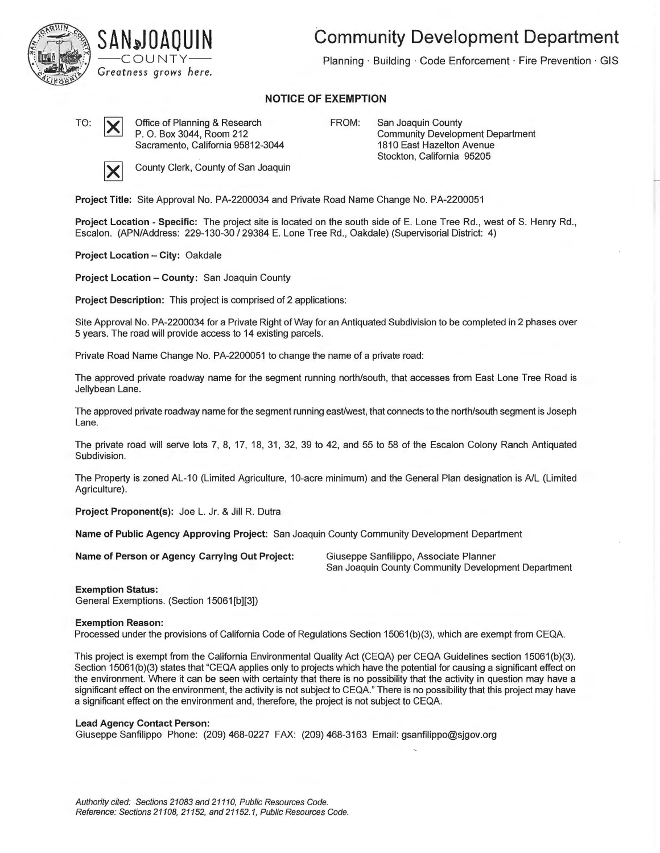

## **SA N~J DAO U IN**  ——COUNTY—— *Greatness grows here.*

**Community Development Department** 

Planning · Building · Code Enforcement · Fire Prevention · GIS

## **NOTICE OF EXEMPTION**

TO:  $\boxed{\smile}$  Office of Planning & Research P. O. Box 3044, Room 212 Sacramento, California 95812-3044

FROM: San Joaquin County Community Development Department 1810 East Hazelton Avenue Stockton, California 95205



**County Clerk, County of San Joaquin** 

**Project Title:** Site Approval No. PA-2200034 and Private Road Name Change No. PA-2200051

**Project Location - Specific:** The project site is located on the south side of E. Lone Tree Rd., west of S. Henry Rd., Escalon. (APN/Address: 229-130-30 / 29384 E. Lone Tree Rd., Oakdale) (Supervisorial District: 4)

**Project Location - City:** Oakdale

**Project Location - County:** San Joaquin County

**Project Description:** This project is comprised of 2 applications:

Site Approval No. PA-2200034 for a Private Right of Way for an Antiquated Subdivision to be completed in 2 phases over 5 years. The road will provide access to 14 existing parcels.

Private Road Name Change No. PA-2200051 to change the name of a private road:

The approved private roadway name for the segment running north/south, that accesses from East Lone Tree Road is Jellybean Lane.

The approved private roadway name for the segment running east/west, that connects to the north/south segment is Joseph Lane.

The private road will serve lots 7, 8, 17, 18, 31, 32, 39 to 42, and 55 to 58 of the Escalon Colony Ranch Antiquated Subdivision.

The Property is zoned AL-10 (Limited Agriculture, 10-acre minimum) and the General Plan designation is A/L (Limited Agriculture).

**Project Proponent(s):** Joe L. Jr. & Jill R. Dutra

**Name of Public Agency Approving Project:** San Joaquin County Community Development Department

**Name of Person or Agency Carrying Out Project:** Giuseppe Sanfilippo, Associate Planner

San Joaquin County Community Development Department

**Exemption Status:** 

General Exemptions. (Section 15061[b][3])

## **Exemption Reason:**

Processed under the provisions of California Code of Regulations Section 15061 (b)(3), which are exempt from CEQA.

This project is exempt from the California Environmental Quality Act (CEQA) per CEQA Guidelines section 15061 (b)(3). Section 15061(b)(3) states that "CEQA applies only to projects which have the potential for causing a significant effect on the environment. Where it can be seen with certainty that there is no possibility that the activity in question may have a significant effect on the environment, the activity is not subject to CEQA." There is no possibility that this project may have a significant effect on the environment and, therefore, the project is not subject to CEQA.

## **Lead Agency Contact Person:**

Giuseppe Sanfilippo Phone: (209) 468-0227 FAX: (209) 468-3163 Email: gsanfilippo@sjgov.org